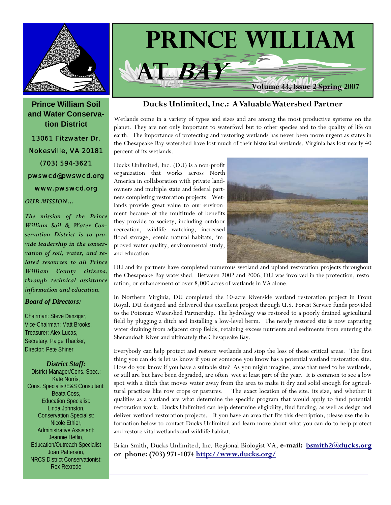

**Prince William Soil and Water Conservation District**  13061 Fitzwater Dr. Nokesville, VA 20181 (703) 594-3621 pwswcd@pwswcd.org www.pwswcd.org

#### *OUR MISSION…*

*The mission of the Prince William Soil & Water Conservation District is to provide leadership in the conservation of soil, water, and related resources to all Prince William County citizens, through technical assistance information and education.* 

#### *Board of Directors:*

Chairman: Steve Danziger, Vice-Chairman: Matt Brooks, Treasurer: Alex Lucas, Secretary: Paige Thacker, Director: Pete Shiner

*District Staff:*  District Manager/Cons. Spec.: Kate Norris, Cons. Specialist/E&S Consultant: Beata Coss, Education Specialist: Linda Johnston, Conservation Specialist: Nicole Ethier, Administrative Assistant: Jeannie Heflin, Education/Outreach Specialist Joan Patterson, NRCS District Conservationist: Rex Rexrode



#### **Ducks Unlimited, Inc.: A Valuable Watershed Partner**

Wetlands come in a variety of types and sizes and are among the most productive systems on the planet. They are not only important to waterfowl but to other species and to the quality of life on earth. The importance of protecting and restoring wetlands has never been more urgent as states in the Chesapeake Bay watershed have lost much of their historical wetlands. Virginia has lost nearly 40 percent of its wetlands.

Ducks Unlimited, Inc. (DU) is a non-profit organization that works across North America in collaboration with private landowners and multiple state and federal partners completing restoration projects. Wetlands provide great value to our environment because of the multitude of benefits they provide to society, including outdoor recreation, wildlife watching, increased flood storage, scenic natural habitats, improved water quality, environmental study, and education.



DU and its partners have completed numerous wetland and upland restoration projects throughout the Chesapeake Bay watershed. Between 2002 and 2006, DU was involved in the protection, restoration, or enhancement of over 8,000 acres of wetlands in VA alone.

In Northern Virginia, DU completed the 10-acre Riverside wetland restoration project in Front Royal. DU designed and delivered this excellent project through U.S. Forest Service funds provided to the Potomac Watershed Partnership. The hydrology was restored to a poorly drained agricultural field by plugging a ditch and installing a low-level berm. The newly restored site is now capturing water draining from adjacent crop fields, retaining excess nutrients and sediments from entering the Shenandoah River and ultimately the Chesapeake Bay.

Everybody can help protect and restore wetlands and stop the loss of these critical areas. The first thing you can do is let us know if you or someone you know has a potential wetland restoration site. How do you know if you have a suitable site? As you might imagine, areas that used to be wetlands, or still are but have been degraded, are often wet at least part of the year. It is common to see a low spot with a ditch that moves water away from the area to make it dry and solid enough for agricultural practices like row crops or pastures. The exact location of the site, its size, and whether it qualifies as a wetland are what determine the specific program that would apply to fund potential restoration work. Ducks Unlimited can help determine eligibility, find funding, as well as design and deliver wetland restoration projects. If you have an area that fits this description, please use the information below to contact Ducks Unlimited and learn more about what you can do to help protect and restore vital wetlands and wildlife habitat.

Brian Smith, Ducks Unlimited, Inc. Regional Biologist VA, **e-mail: [bsmith2@ducks.org](mailto:bsmith2@ducks.org) or phone: (703) 971-1074<http://www.ducks.org/>**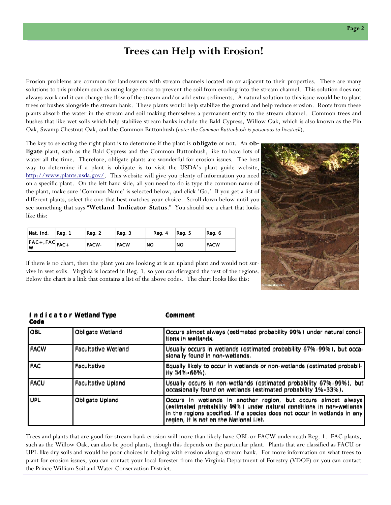## **Trees can Help with Erosion!**

Erosion problems are common for landowners with stream channels located on or adjacent to their properties. There are many solutions to this problem such as using large rocks to prevent the soil from eroding into the stream channel. This solution does not always work and it can change the flow of the stream and/or add extra sediments. A natural solution to this issue would be to plant trees or bushes alongside the stream bank. These plants would help stabilize the ground and help reduce erosion. Roots from these plants absorb the water in the stream and soil making themselves a permanent entity to the stream channel. Common trees and bushes that like wet soils which help stabilize stream banks include the Bald Cypress, Willow Oak, which is also known as the Pin Oak, Swamp Chestnut Oak, and the Common Buttonbush (*note: the Common Buttonbush is poisonous to livestock*).

The key to selecting the right plant is to determine if the plant is **obligate** or not. An **obligate** plant, such as the Bald Cypress and the Common Buttonbush, like to have lots of water all the time. Therefore, obligate plants are wonderful for erosion issues. The best way to determine if a plant is obligate is to visit the USDA's plant guide website, <http://www.plants.usda.gov/>. This website will give you plenty of information you need on a specific plant. On the left hand side, all you need to do is type the common name of the plant, make sure 'Common Name' is selected below, and click 'Go.' If you get a list of different plants, select the one that best matches your choice. Scroll down below until you see something that says "**Wetland Indicator Status**." You should see a chart that looks like this:

| Nat. Ind.                 | Reg. 1 | Reg. 2       | Req. 3      | Reg. 4 | Req. 5    | Reg. 6      |
|---------------------------|--------|--------------|-------------|--------|-----------|-------------|
| $FAC + FAC$ $FAC +$<br>١w |        | <b>FACW-</b> | <b>FACW</b> | NO     | <b>NO</b> | <b>FACW</b> |

If there is no chart, then the plant you are looking at is an upland plant and would not survive in wet soils. Virginia is located in Reg. 1, so you can disregard the rest of the regions. Below the chart is a link that contains a list of the above codes. The chart looks like this:

| ive in wet soils. Virginia is located in Reg. 1, so you can disregard the rest of the regions.<br>Below the chart is a link that contains a list of the above codes. The chart looks like this:<br>ongabay.com |                            |                                                                                                                                                                                                                    |  |  |  |  |
|----------------------------------------------------------------------------------------------------------------------------------------------------------------------------------------------------------------|----------------------------|--------------------------------------------------------------------------------------------------------------------------------------------------------------------------------------------------------------------|--|--|--|--|
| Code                                                                                                                                                                                                           | Indicator Wetland Type     | Comment                                                                                                                                                                                                            |  |  |  |  |
| OBL                                                                                                                                                                                                            | Obligate Wetland           | Occurs almost always (estimated probability 99%) under natural condi-<br>tions in wetlands.                                                                                                                        |  |  |  |  |
| FACW                                                                                                                                                                                                           | <b>Facultative Wetland</b> | Usually occurs in wetlands (estimated probability 67%-99%), but occa-<br>sionally found in non-wetlands.                                                                                                           |  |  |  |  |
| FAC                                                                                                                                                                                                            | Facultative                | Equally likely to occur in wetlands or non-wetlands (estimated probabil-<br>ity $34\% - 66\%$ ).                                                                                                                   |  |  |  |  |
| FACU                                                                                                                                                                                                           | <b>Facultative Upland</b>  | Usually occurs in non-wetlands (estimated probability 67%-99%), but<br>occasionally found on wetlands (estimated probability 1%-33%).                                                                              |  |  |  |  |
| UPL                                                                                                                                                                                                            | Obligate Upland            | Occurs in wetlands in another region, but occurs almost always<br>(estimated probability 99%) under natural conditions in non-wetlands<br>in the regions specified. If a species does not occur in wetlands in any |  |  |  |  |

#### Trees and plants that are good for stream bank erosion will more than likely have OBL or FACW underneath Reg. 1. FAC plants, such as the Willow Oak, can also be good plants, though this depends on the particular plant. Plants that are classified as FACU or UPL like dry soils and would be poor choices in helping with erosion along a stream bank. For more information on what trees to plant for erosion issues, you can contact your local forester from the Virginia Department of Forestry (VDOF) or you can contact the Prince William Soil and Water Conservation District.

region, it is not on the National List. region, it is not on the National List.

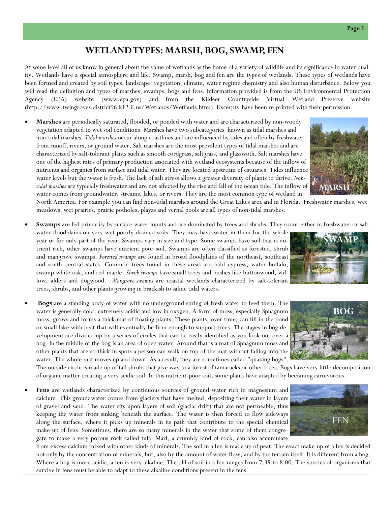#### **WETLAND TYPES: MARSH, BOG, SWAMP, FEN**

At some level all of us know in general about the value of wetlands as the home of a variety of wildlife and its significance in water quality. Wetlands have a special atmosphere and life. Swamp, marsh, bog and fen are the types of wetlands. These types of wetlands have been formed and created by soil types, landscape, vegetation, climate, water regime chemistry and also human disturbance. Below you will read the definition and types of marshes, swamps, bogs and fens. Information provided is from the US Environmental Protection Agency (EPA) website (www.epa.gov) and from the Kildeer Countryside Virtual Wetland Preserve website (http://www.twingroves.district96.k12.il.us/Wetlands/Wetlands.html). Excerpts have been re-printed with their permission.

• **Marshes** are periodically saturated, flooded, or ponded with water and are characterized by non-woody vegetation adapted to wet soil conditions. Marshes have two subcategories known as tidal marshes and non-tidal marshes. *Tidal marshes* occur along coastlines and are influenced by tides and often by freshwater from runoff, rivers, or ground water. Salt marshes are the most prevalent types of tidal marshes and are characterized by salt-tolerant plants such as smooth cordgrass, saltgrass, and glasswoth. Salt marshes have one of the highest rates of primary production associated with wetland ecosystems because of the inflow of nutrients and organics from surface and tidal water. They are located upstream of estuaries. Tides influence water levels but the water is fresh. The lack of salt stress allows a greater diversity of plants to thrive. *Nontidal marshes* are typically freshwater and are not affected by the rise and fall of the ocean tide. The inflow of water comes from groundwater, streams, lakes, or rivers. They are the most common type of wetland in

meadows, wet prairies, prairie potholes, playas and vernal pools are all types of non-tidal marshes.

North America. For example you can find non-tidal marshes around the Great Lakes area and in Florida. Freshwater marshes, wet

**Swamps** are fed primarily by surface water inputs and are dominated by trees and shrubs. They occur either in freshwater or salt-

- water floodplains on very wet poorly drained soils. They may have water in them for the whole year or for only part of the year. Swamps vary in size and type. Some swamps have soil that is nutrient rich, other swamps have nutrient poor soil. Swamps are often classified as forested, shrub and mangrove swamps. *Forested swamps* are found in broad floodplains of the northeast, southeast and south–central states. Common trees found in these areas are bald cypress, water buffalo, swamp white oak, and red maple. *Shrub swamps* have small trees and bushes like buttonwood, willow, alders and dogwood. *Mangrove swamps* are coastal wetlands characterized by salt-tolerant trees, shrubs, and other plants growing in brackish to saline tidal waters.
- **Bogs** are a standing body of water with no underground spring of fresh water to feed them. The water is generally cold, extremely acidic and low in oxygen. A form of moss, especially Sphagnum moss, grows and forms a thick mat of floating plants. These plants, over time, can fill in the pond or small lake with peat that will eventually be firm enough to support trees. The stages in bog development are divided up by a series of circles that can be easily identified as you look out over a bog. In the middle of the bog is an area of open water. Around that is a mat of Sphagnum moss and other plants that are so thick in spots a person can walk on top of the mat without falling into the water. The whole mat moves up and down. As a result, they are sometimes called "quaking bogs".

The outside circle is made up of tall shrubs that give way to a forest of tamaracks or other trees. Bogs have very little decomposition of organic matter creating a very acidic soil. In this nutrient-poor soil, some plants have adapted by becoming carnivorous.

• **Fens** are wetlands characterized by continuous sources of ground water rich in magnesium and calcium. This groundwater comes from glaciers that have melted, depositing their water in layers of gravel and sand. The water sits upon layers of soil (glacial drift) that are not permeable; thus keeping the water from sinking beneath the surface. The water is then forced to flow sideways along the surface, where it picks up minerals in its path that contribute to the special chemical make-up of fens. Sometimes, there are so many minerals in the water that some of them congregate to make a very porous rock called tufa. Marl, a crumbly kind of rock, can also accumulate

from excess calcium mixed with other kinds of minerals. The soil in a fen is made up of peat. The exact make-up of a fen is decided not only by the concentration of minerals, but, also by the amount of water flow, and by the terrain itself. It is different from a bog. Where a bog is more acidic, a fen is very alkaline. The pH of soil in a fen ranges from 7.35 to 8.00. The species of organisms that survive in fens must be able to adapt to these alkaline conditions present in the fens.









**MARSH**